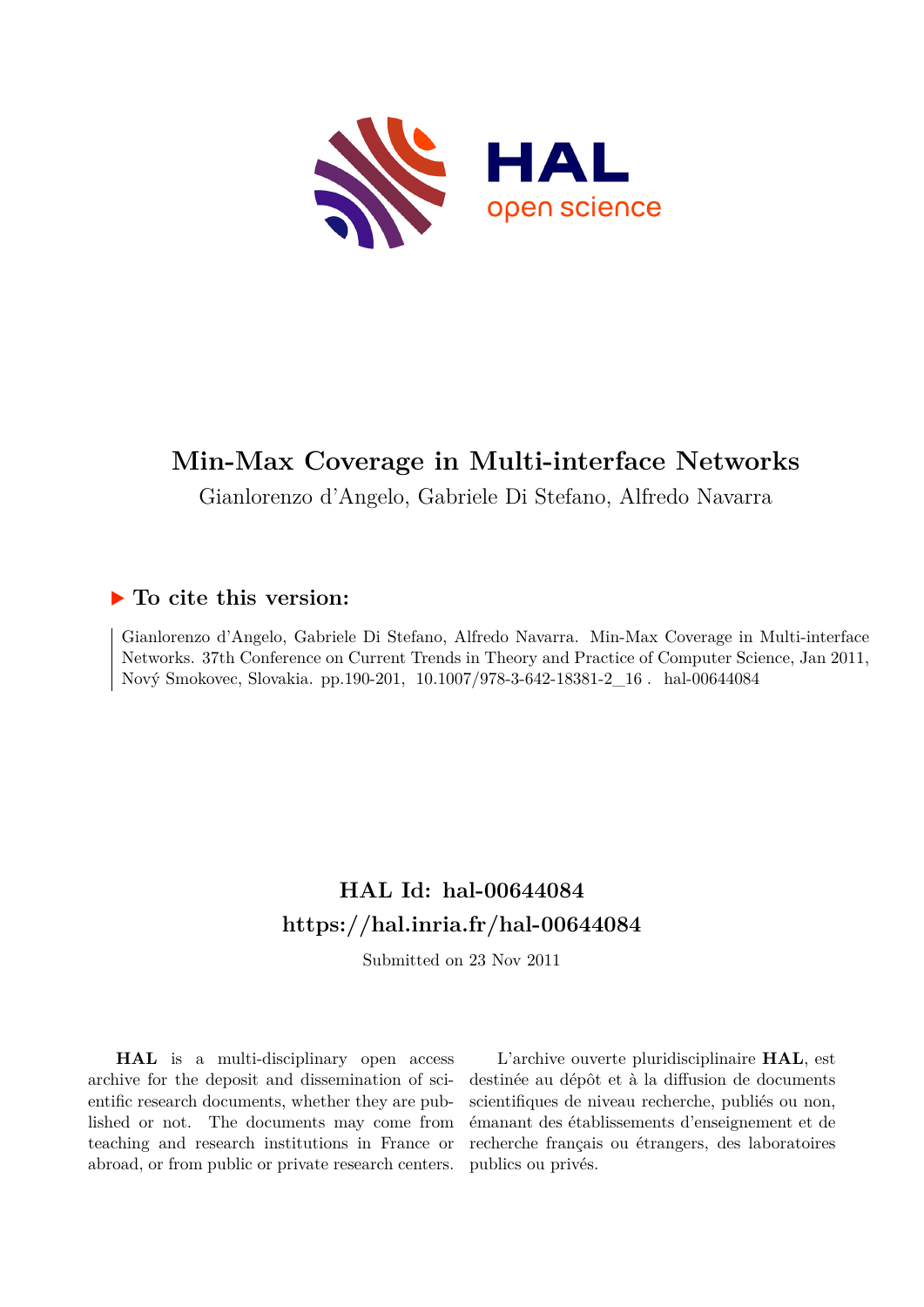

# **Min-Max Coverage in Multi-interface Networks**

Gianlorenzo d'Angelo, Gabriele Di Stefano, Alfredo Navarra

### **To cite this version:**

Gianlorenzo d'Angelo, Gabriele Di Stefano, Alfredo Navarra. Min-Max Coverage in Multi-interface Networks. 37th Conference on Current Trends in Theory and Practice of Computer Science, Jan 2011, Nový Smokovec, Slovakia. pp.190-201,  $10.1007/978-3-642-18381-2\_16$ . hal-00644084

## **HAL Id: hal-00644084 <https://hal.inria.fr/hal-00644084>**

Submitted on 23 Nov 2011

**HAL** is a multi-disciplinary open access archive for the deposit and dissemination of scientific research documents, whether they are published or not. The documents may come from teaching and research institutions in France or abroad, or from public or private research centers.

L'archive ouverte pluridisciplinaire **HAL**, est destinée au dépôt et à la diffusion de documents scientifiques de niveau recherche, publiés ou non, émanant des établissements d'enseignement et de recherche français ou étrangers, des laboratoires publics ou privés.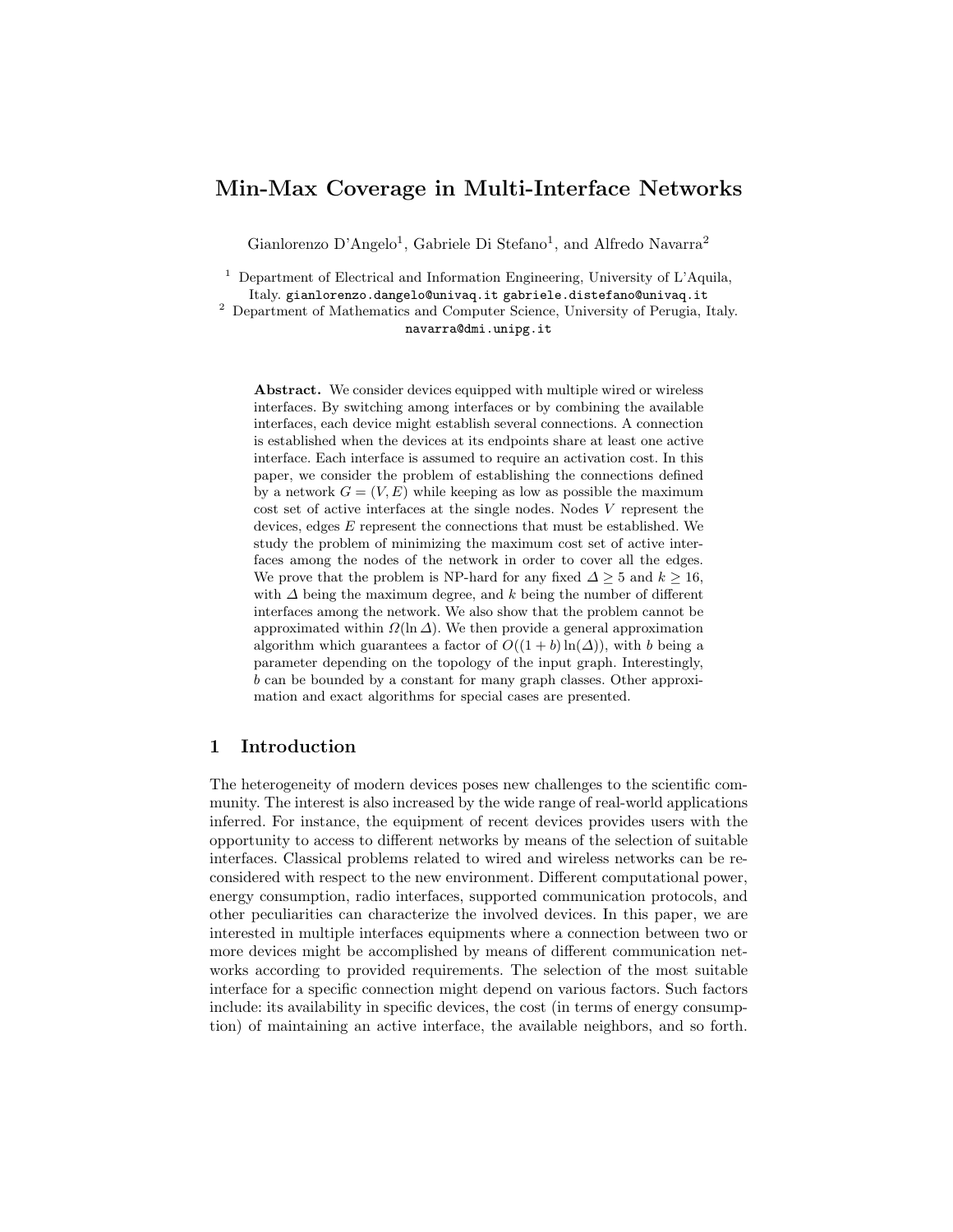### Min-Max Coverage in Multi-Interface Networks

Gianlorenzo D'Angelo<sup>1</sup>, Gabriele Di Stefano<sup>1</sup>, and Alfredo Navarra<sup>2</sup>

<sup>1</sup> Department of Electrical and Information Engineering, University of L'Aquila, Italy. gianlorenzo.dangelo@univaq.it gabriele.distefano@univaq.it

<sup>2</sup> Department of Mathematics and Computer Science, University of Perugia, Italy. navarra@dmi.unipg.it

Abstract. We consider devices equipped with multiple wired or wireless interfaces. By switching among interfaces or by combining the available interfaces, each device might establish several connections. A connection is established when the devices at its endpoints share at least one active interface. Each interface is assumed to require an activation cost. In this paper, we consider the problem of establishing the connections defined by a network  $G = (V, E)$  while keeping as low as possible the maximum cost set of active interfaces at the single nodes. Nodes V represent the devices, edges E represent the connections that must be established. We study the problem of minimizing the maximum cost set of active interfaces among the nodes of the network in order to cover all the edges. We prove that the problem is NP-hard for any fixed  $\Delta > 5$  and  $k > 16$ , with  $\Delta$  being the maximum degree, and k being the number of different interfaces among the network. We also show that the problem cannot be approximated within  $\Omega(\ln \Delta)$ . We then provide a general approximation algorithm which guarantees a factor of  $O((1 + b) \ln(\Delta))$ , with b being a parameter depending on the topology of the input graph. Interestingly, b can be bounded by a constant for many graph classes. Other approximation and exact algorithms for special cases are presented.

#### 1 Introduction

The heterogeneity of modern devices poses new challenges to the scientific community. The interest is also increased by the wide range of real-world applications inferred. For instance, the equipment of recent devices provides users with the opportunity to access to different networks by means of the selection of suitable interfaces. Classical problems related to wired and wireless networks can be reconsidered with respect to the new environment. Different computational power, energy consumption, radio interfaces, supported communication protocols, and other peculiarities can characterize the involved devices. In this paper, we are interested in multiple interfaces equipments where a connection between two or more devices might be accomplished by means of different communication networks according to provided requirements. The selection of the most suitable interface for a specific connection might depend on various factors. Such factors include: its availability in specific devices, the cost (in terms of energy consumption) of maintaining an active interface, the available neighbors, and so forth.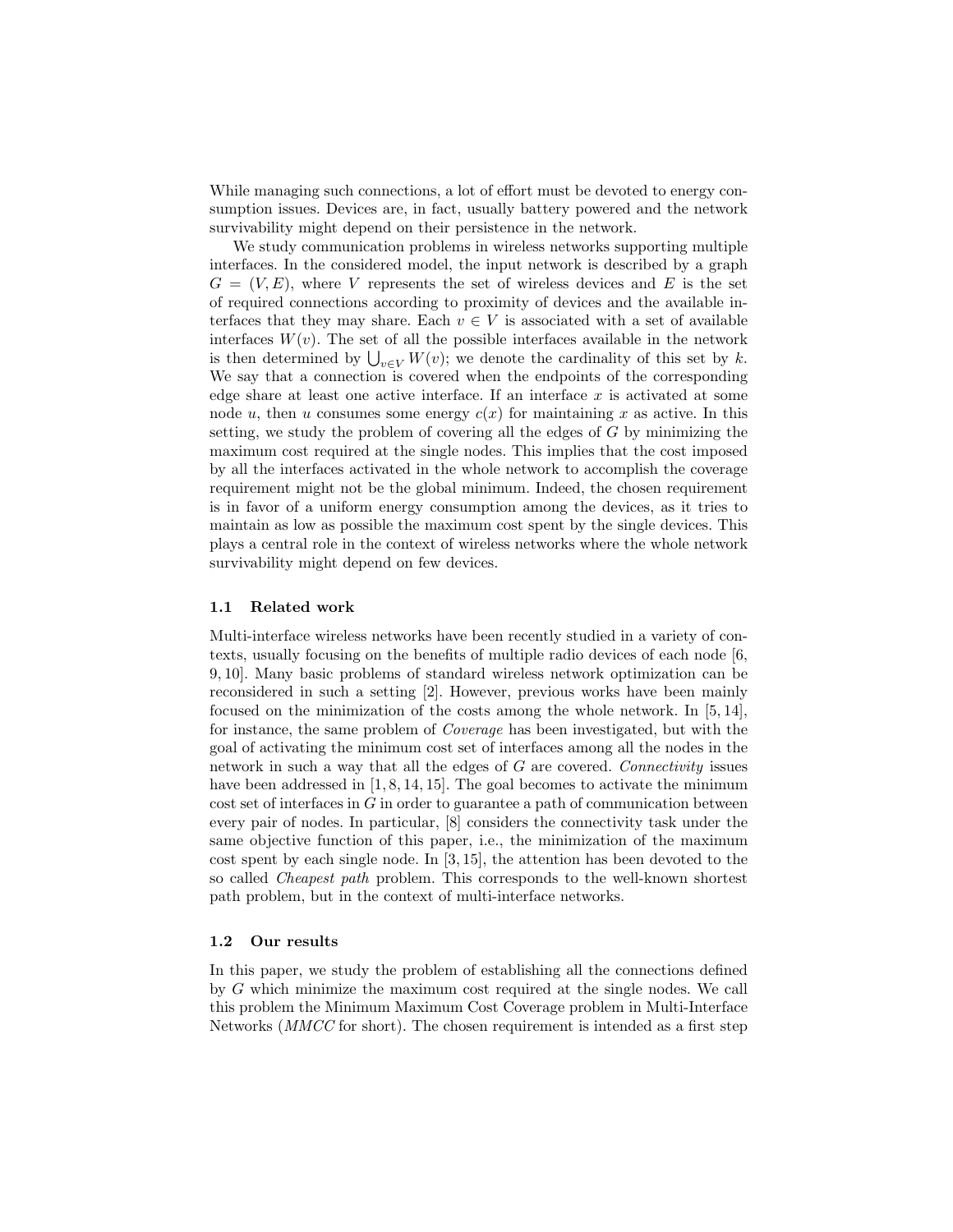While managing such connections, a lot of effort must be devoted to energy consumption issues. Devices are, in fact, usually battery powered and the network survivability might depend on their persistence in the network.

We study communication problems in wireless networks supporting multiple interfaces. In the considered model, the input network is described by a graph  $G = (V, E)$ , where V represents the set of wireless devices and E is the set of required connections according to proximity of devices and the available interfaces that they may share. Each  $v \in V$  is associated with a set of available interfaces  $W(v)$ . The set of all the possible interfaces available in the network interfaces  $W(v)$ . The set of all the possible interfaces available in the network is then determined by  $\bigcup_{v \in V} W(v)$ ; we denote the cardinality of this set by k. We say that a connection is covered when the endpoints of the corresponding edge share at least one active interface. If an interface  $x$  is activated at some node u, then u consumes some energy  $c(x)$  for maintaining x as active. In this setting, we study the problem of covering all the edges of  $G$  by minimizing the maximum cost required at the single nodes. This implies that the cost imposed by all the interfaces activated in the whole network to accomplish the coverage requirement might not be the global minimum. Indeed, the chosen requirement is in favor of a uniform energy consumption among the devices, as it tries to maintain as low as possible the maximum cost spent by the single devices. This plays a central role in the context of wireless networks where the whole network survivability might depend on few devices.

#### 1.1 Related work

Multi-interface wireless networks have been recently studied in a variety of contexts, usually focusing on the benefits of multiple radio devices of each node [6, 9, 10]. Many basic problems of standard wireless network optimization can be reconsidered in such a setting [2]. However, previous works have been mainly focused on the minimization of the costs among the whole network. In [5, 14], for instance, the same problem of Coverage has been investigated, but with the goal of activating the minimum cost set of interfaces among all the nodes in the network in such a way that all the edges of G are covered. Connectivity issues have been addressed in [1, 8, 14, 15]. The goal becomes to activate the minimum cost set of interfaces in G in order to guarantee a path of communication between every pair of nodes. In particular, [8] considers the connectivity task under the same objective function of this paper, i.e., the minimization of the maximum cost spent by each single node. In  $[3, 15]$ , the attention has been devoted to the so called Cheapest path problem. This corresponds to the well-known shortest path problem, but in the context of multi-interface networks.

#### 1.2 Our results

In this paper, we study the problem of establishing all the connections defined by G which minimize the maximum cost required at the single nodes. We call this problem the Minimum Maximum Cost Coverage problem in Multi-Interface Networks (MMCC for short). The chosen requirement is intended as a first step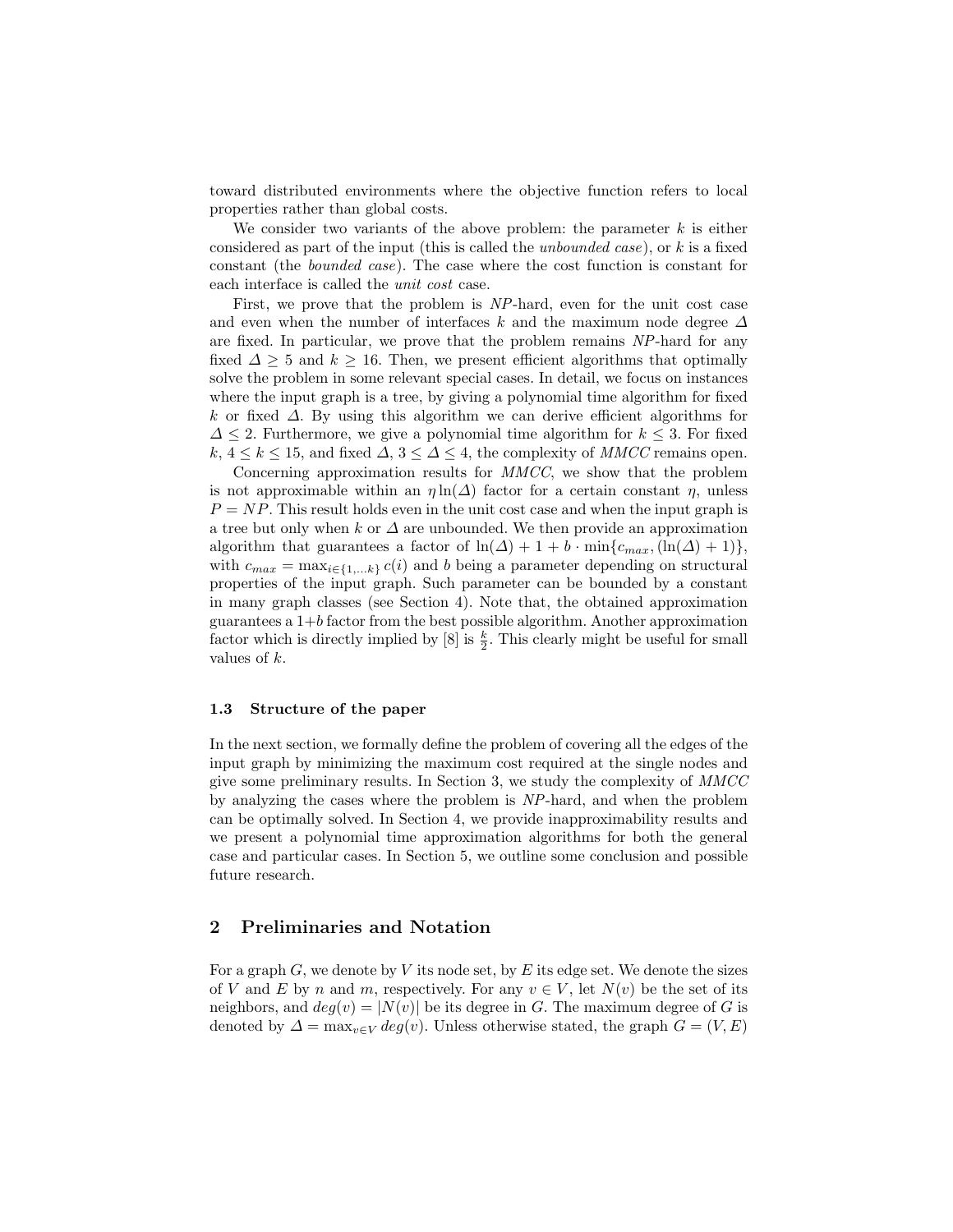toward distributed environments where the objective function refers to local properties rather than global costs.

We consider two variants of the above problem: the parameter  $k$  is either considered as part of the input (this is called the *unbounded case*), or  $k$  is a fixed constant (the bounded case). The case where the cost function is constant for each interface is called the unit cost case.

First, we prove that the problem is NP-hard, even for the unit cost case and even when the number of interfaces k and the maximum node degree  $\Delta$ are fixed. In particular, we prove that the problem remains NP-hard for any fixed  $\Delta \geq 5$  and  $k \geq 16$ . Then, we present efficient algorithms that optimally solve the problem in some relevant special cases. In detail, we focus on instances where the input graph is a tree, by giving a polynomial time algorithm for fixed k or fixed  $\Delta$ . By using this algorithm we can derive efficient algorithms for  $\Delta \leq 2$ . Furthermore, we give a polynomial time algorithm for  $k \leq 3$ . For fixed  $k, 4 \leq k \leq 15$ , and fixed  $\Delta, 3 \leq \Delta \leq 4$ , the complexity of *MMCC* remains open.

Concerning approximation results for MMCC, we show that the problem is not approximable within an  $\eta \ln(\Delta)$  factor for a certain constant  $\eta$ , unless  $P = NP$ . This result holds even in the unit cost case and when the input graph is a tree but only when k or  $\Delta$  are unbounded. We then provide an approximation algorithm that guarantees a factor of  $\ln(\Delta) + 1 + b \cdot \min\{c_{max}, (\ln(\Delta) + 1)\},$ with  $c_{max} = \max_{i \in \{1,\ldots,k\}} c(i)$  and b being a parameter depending on structural properties of the input graph. Such parameter can be bounded by a constant in many graph classes (see Section 4). Note that, the obtained approximation guarantees a  $1+b$  factor from the best possible algorithm. Another approximation factor which is directly implied by  $[8]$  is  $\frac{k}{2}$ . This clearly might be useful for small values of k.

#### 1.3 Structure of the paper

In the next section, we formally define the problem of covering all the edges of the input graph by minimizing the maximum cost required at the single nodes and give some preliminary results. In Section 3, we study the complexity of MMCC by analyzing the cases where the problem is NP-hard, and when the problem can be optimally solved. In Section 4, we provide inapproximability results and we present a polynomial time approximation algorithms for both the general case and particular cases. In Section 5, we outline some conclusion and possible future research.

#### 2 Preliminaries and Notation

For a graph  $G$ , we denote by V its node set, by E its edge set. We denote the sizes of V and E by n and m, respectively. For any  $v \in V$ , let  $N(v)$  be the set of its neighbors, and  $deg(v) = |N(v)|$  be its degree in G. The maximum degree of G is denoted by  $\Delta = \max_{v \in V} deg(v)$ . Unless otherwise stated, the graph  $G = (V, E)$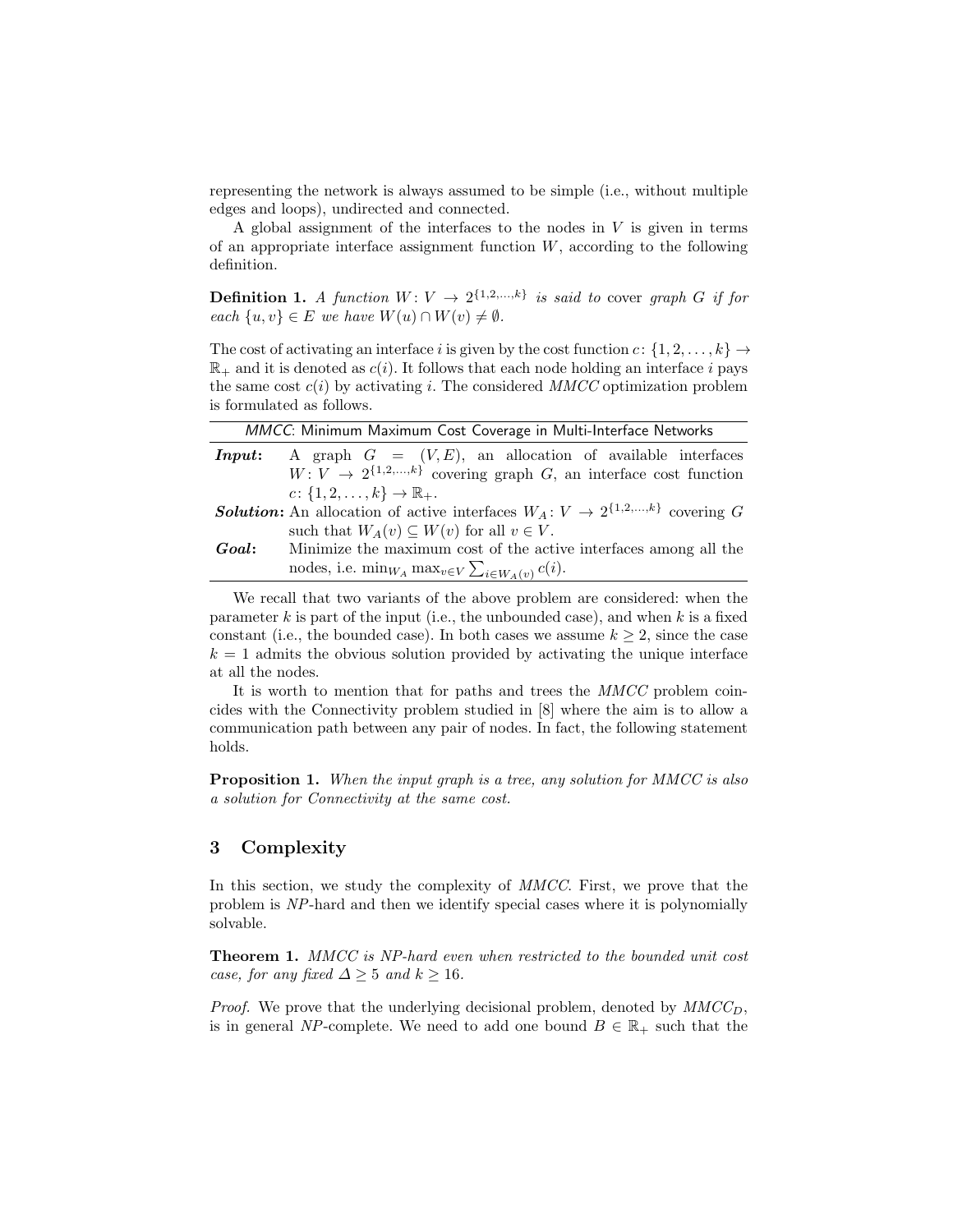representing the network is always assumed to be simple (i.e., without multiple edges and loops), undirected and connected.

A global assignment of the interfaces to the nodes in  $V$  is given in terms of an appropriate interface assignment function  $W$ , according to the following definition.

**Definition 1.** A function  $W: V \to 2^{\{1,2,\ldots,k\}}$  is said to cover graph G if for each  $\{u, v\} \in E$  we have  $W(u) \cap W(v) \neq \emptyset$ .

The cost of activating an interface i is given by the cost function  $c: \{1, 2, \ldots, k\} \rightarrow$  $\mathbb{R}_+$  and it is denoted as  $c(i)$ . It follows that each node holding an interface i pays the same cost  $c(i)$  by activating i. The considered MMCC optimization problem is formulated as follows.

|               | MMCC: Minimum Maximum Cost Coverage in Multi-Interface Networks                                 |
|---------------|-------------------------------------------------------------------------------------------------|
| <i>lnput:</i> | A graph $G = (V, E)$ , an allocation of available interfaces                                    |
|               | $W: V \to 2^{\{1, 2, , k\}}$ covering graph G, an interface cost function                       |
|               | $c: \{1, 2, , k\} \to \mathbb{R}_+$ .                                                           |
|               | <b>Solution:</b> An allocation of active interfaces $W_A: V \to 2^{\{1,2,\dots,k\}}$ covering G |
|               | such that $W_A(v) \subseteq W(v)$ for all $v \in V$ .                                           |
| Goal:         | Minimize the maximum cost of the active interfaces among all the                                |
|               | nodes, i.e. $\min_{W_A} \max_{v \in V} \sum_{i \in W_A(v)} c(i)$ .                              |

We recall that two variants of the above problem are considered: when the parameter  $k$  is part of the input (i.e., the unbounded case), and when  $k$  is a fixed constant (i.e., the bounded case). In both cases we assume  $k \geq 2$ , since the case  $k = 1$  admits the obvious solution provided by activating the unique interface at all the nodes.

It is worth to mention that for paths and trees the MMCC problem coincides with the Connectivity problem studied in [8] where the aim is to allow a communication path between any pair of nodes. In fact, the following statement holds.

**Proposition 1.** When the input graph is a tree, any solution for MMCC is also a solution for Connectivity at the same cost.

#### 3 Complexity

In this section, we study the complexity of *MMCC*. First, we prove that the problem is NP-hard and then we identify special cases where it is polynomially solvable.

Theorem 1. MMCC is NP-hard even when restricted to the bounded unit cost case, for any fixed  $\Delta \geq 5$  and  $k \geq 16$ .

*Proof.* We prove that the underlying decisional problem, denoted by  $MMCC_D$ , is in general NP-complete. We need to add one bound  $B \in \mathbb{R}_+$  such that the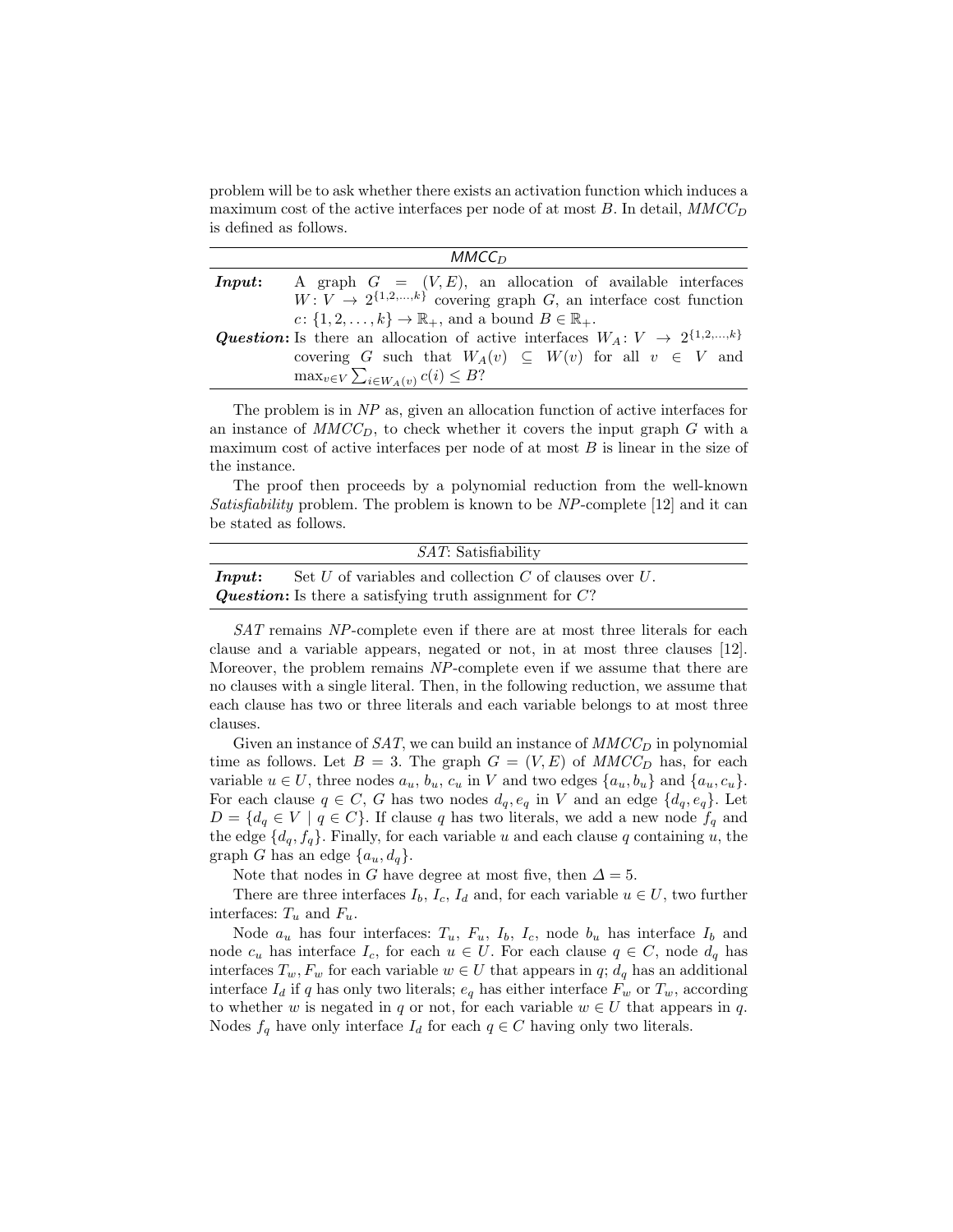problem will be to ask whether there exists an activation function which induces a maximum cost of the active interfaces per node of at most  $B$ . In detail,  $MMCC_D$ is defined as follows.

|               | $MMCC_D$                                                                                       |
|---------------|------------------------------------------------------------------------------------------------|
| <i>Input:</i> | A graph $G = (V, E)$ , an allocation of available interfaces                                   |
|               | $W: V \to 2^{\{1, 2, , k\}}$ covering graph G, an interface cost function                      |
|               | $c: \{1, 2, \ldots, k\} \to \mathbb{R}_+$ , and a bound $B \in \mathbb{R}_+$ .                 |
|               | <b>Question:</b> Is there an allocation of active interfaces $W_A: V \to 2^{\{1,2,\ldots,k\}}$ |
|               | covering G such that $W_A(v) \subseteq W(v)$ for all $v \in V$ and                             |
|               | $\max_{v \in V} \sum_{i \in W_A(v)} c(i) \leq B?$                                              |
|               |                                                                                                |

The problem is in NP as, given an allocation function of active interfaces for an instance of  $AMCC_D$ , to check whether it covers the input graph G with a maximum cost of active interfaces per node of at most  $B$  is linear in the size of the instance.

The proof then proceeds by a polynomial reduction from the well-known Satisfiability problem. The problem is known to be NP-complete [12] and it can be stated as follows.

|        | SAT: Satisfiability                                                                                                              |
|--------|----------------------------------------------------------------------------------------------------------------------------------|
| Input: | Set U of variables and collection $C$ of clauses over $U$ .<br><b>Question:</b> Is there a satisfying truth assignment for $C$ ? |

SAT remains NP-complete even if there are at most three literals for each clause and a variable appears, negated or not, in at most three clauses [12]. Moreover, the problem remains NP-complete even if we assume that there are no clauses with a single literal. Then, in the following reduction, we assume that each clause has two or three literals and each variable belongs to at most three clauses.

Given an instance of  $SAT$ , we can build an instance of  $MMCC_D$  in polynomial time as follows. Let  $B = 3$ . The graph  $G = (V, E)$  of  $AMCC_D$  has, for each variable  $u \in U$ , three nodes  $a_u$ ,  $b_u$ ,  $c_u$  in V and two edges  $\{a_u, b_u\}$  and  $\{a_u, c_u\}$ . For each clause  $q \in C$ , G has two nodes  $d_q, e_q$  in V and an edge  $\{d_q, e_q\}$ . Let  $D = \{d_q \in V \mid q \in C\}$ . If clause q has two literals, we add a new node  $f_q$  and the edge  $\{d_q, f_q\}$ . Finally, for each variable u and each clause q containing u, the graph G has an edge  $\{a_u, d_q\}.$ 

Note that nodes in G have degree at most five, then  $\Delta = 5$ .

There are three interfaces  $I_b$ ,  $I_c$ ,  $I_d$  and, for each variable  $u \in U$ , two further interfaces:  $T_u$  and  $F_u$ .

Node  $a_u$  has four interfaces:  $T_u$ ,  $F_u$ ,  $I_b$ ,  $I_c$ , node  $b_u$  has interface  $I_b$  and node  $c_u$  has interface  $I_c$ , for each  $u \in U$ . For each clause  $q \in C$ , node  $d_q$  has interfaces  $T_w, F_w$  for each variable  $w \in U$  that appears in q;  $d_q$  has an additional interface  $I_d$  if q has only two literals;  $e_q$  has either interface  $F_w$  or  $T_w$ , according to whether w is negated in q or not, for each variable  $w \in U$  that appears in q. Nodes  $f_q$  have only interface  $I_d$  for each  $q \in C$  having only two literals.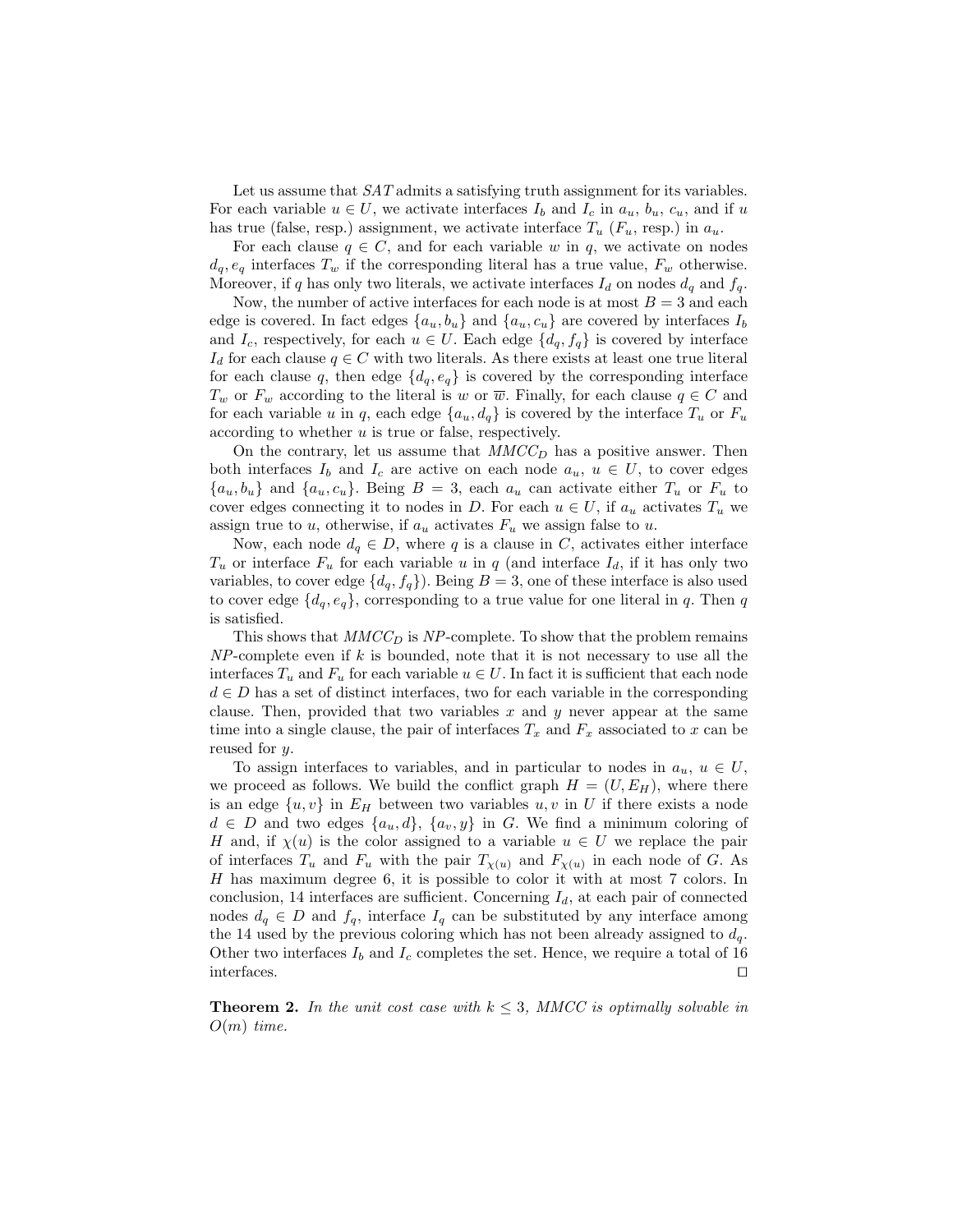Let us assume that  $SAT$  admits a satisfying truth assignment for its variables. For each variable  $u \in U$ , we activate interfaces  $I_b$  and  $I_c$  in  $a_u$ ,  $b_u$ ,  $c_u$ , and if u has true (false, resp.) assignment, we activate interface  $T_u$  ( $F_u$ , resp.) in  $a_u$ .

For each clause  $q \in C$ , and for each variable w in q, we activate on nodes  $d_q, e_q$  interfaces  $T_w$  if the corresponding literal has a true value,  $F_w$  otherwise. Moreover, if q has only two literals, we activate interfaces  $I_d$  on nodes  $d_q$  and  $f_q$ .

Now, the number of active interfaces for each node is at most  $B = 3$  and each edge is covered. In fact edges  $\{a_u, b_u\}$  and  $\{a_u, c_u\}$  are covered by interfaces  $I_b$ and  $I_c$ , respectively, for each  $u \in U$ . Each edge  $\{d_q, f_q\}$  is covered by interface  $I_d$  for each clause  $q \in C$  with two literals. As there exists at least one true literal for each clause q, then edge  $\{d_q, e_q\}$  is covered by the corresponding interface  $T_w$  or  $F_w$  according to the literal is w or  $\overline{w}$ . Finally, for each clause  $q \in C$  and for each variable u in q, each edge  $\{a_u, d_g\}$  is covered by the interface  $T_u$  or  $F_u$ according to whether  $u$  is true or false, respectively.

On the contrary, let us assume that  $MMCC_D$  has a positive answer. Then both interfaces  $I_b$  and  $I_c$  are active on each node  $a_u, u \in U$ , to cover edges  ${a_u, b_u}$  and  ${a_u, c_u}$ . Being  $B = 3$ , each  $a_u$  can activate either  $T_u$  or  $F_u$  to cover edges connecting it to nodes in D. For each  $u \in U$ , if  $a_u$  activates  $T_u$  we assign true to u, otherwise, if  $a_u$  activates  $F_u$  we assign false to u.

Now, each node  $d_q \in D$ , where q is a clause in C, activates either interface  $T_u$  or interface  $F_u$  for each variable u in q (and interface  $I_d$ , if it has only two variables, to cover edge  $\{d_q, f_q\}$ . Being  $B = 3$ , one of these interface is also used to cover edge  $\{d_q, e_q\}$ , corresponding to a true value for one literal in q. Then q is satisfied.

This shows that  $MMCC_D$  is NP-complete. To show that the problem remains  $NP$ -complete even if k is bounded, note that it is not necessary to use all the interfaces  $T_u$  and  $F_u$  for each variable  $u \in U$ . In fact it is sufficient that each node  $d \in D$  has a set of distinct interfaces, two for each variable in the corresponding clause. Then, provided that two variables  $x$  and  $y$  never appear at the same time into a single clause, the pair of interfaces  $T_x$  and  $F_x$  associated to x can be reused for y.

To assign interfaces to variables, and in particular to nodes in  $a_u, u \in U$ , we proceed as follows. We build the conflict graph  $H = (U, E_H)$ , where there is an edge  $\{u, v\}$  in  $E_H$  between two variables  $u, v$  in U if there exists a node  $d \in D$  and two edges  $\{a_u, d\}, \{a_v, y\}$  in G. We find a minimum coloring of H and, if  $\chi(u)$  is the color assigned to a variable  $u \in U$  we replace the pair of interfaces  $T_u$  and  $F_u$  with the pair  $T_{\chi(u)}$  and  $F_{\chi(u)}$  in each node of G. As H has maximum degree 6, it is possible to color it with at most 7 colors. In conclusion, 14 interfaces are sufficient. Concerning  $I_d$ , at each pair of connected nodes  $d_q \in D$  and  $f_q$ , interface  $I_q$  can be substituted by any interface among the 14 used by the previous coloring which has not been already assigned to  $d_q$ . Other two interfaces  $I_b$  and  $I_c$  completes the set. Hence, we require a total of 16 interfaces.  $\Box$ 

**Theorem 2.** In the unit cost case with  $k \leq 3$ , MMCC is optimally solvable in  $O(m)$  time.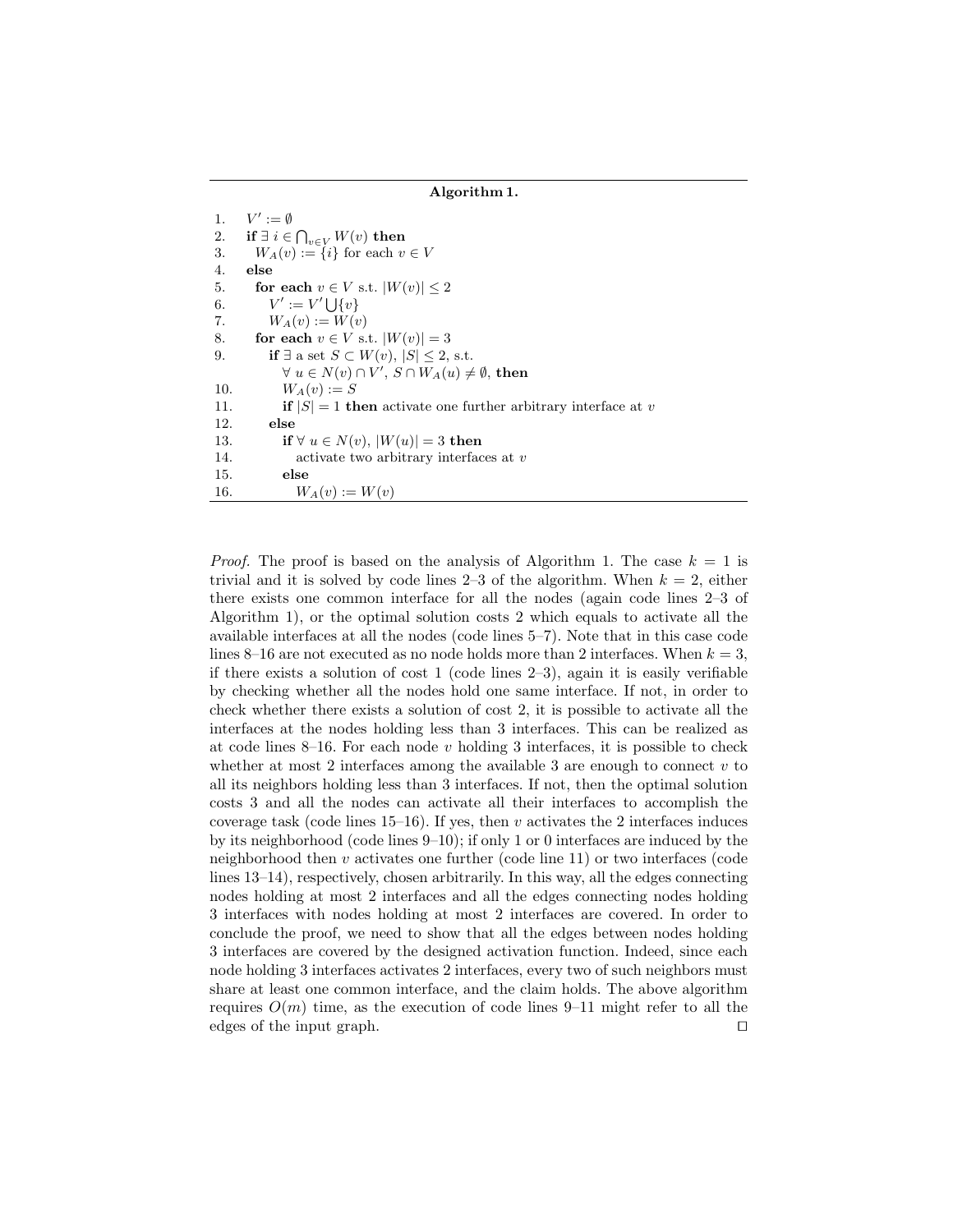```
1. V' := \emptyset1. V := \Psi<br>2. if \exists i \in \bigcap_{v \in V} W(v) then
3. W_A(v) := \{i\} for each v \in V4. else
5. for each v \in V s.t. |W(v)| \leq 26.\begin{aligned} \mathbf{each} \; v \in V \\ := V' \bigcup \{v\} \end{aligned}7. W_A(v) := W(v)8. for each v \in V s.t. |W(v)| = 39. if \exists a set S \subset W(v), |S| \leq 2, s.t.
             \forall u \in N(v) \cap V', S \cap W_A(u) \neq \emptyset, then
10. W_A(v) := S11. if |S| = 1 then activate one further arbitrary interface at v
12. else
13. if \forall u \in N(v), |W(u)| = 3 then
14. activate two arbitrary interfaces at v
15. else
16. W_A(v) := W(v)
```
Algorithm 1.

*Proof.* The proof is based on the analysis of Algorithm 1. The case  $k = 1$  is trivial and it is solved by code lines 2–3 of the algorithm. When  $k = 2$ , either there exists one common interface for all the nodes (again code lines 2–3 of Algorithm 1), or the optimal solution costs 2 which equals to activate all the available interfaces at all the nodes (code lines 5–7). Note that in this case code lines 8–16 are not executed as no node holds more than 2 interfaces. When  $k = 3$ , if there exists a solution of cost 1 (code lines 2–3), again it is easily verifiable by checking whether all the nodes hold one same interface. If not, in order to check whether there exists a solution of cost 2, it is possible to activate all the interfaces at the nodes holding less than 3 interfaces. This can be realized as at code lines  $8-16$ . For each node v holding 3 interfaces, it is possible to check whether at most 2 interfaces among the available 3 are enough to connect  $v$  to all its neighbors holding less than 3 interfaces. If not, then the optimal solution costs 3 and all the nodes can activate all their interfaces to accomplish the coverage task (code lines  $15-16$ ). If yes, then v activates the 2 interfaces induces by its neighborhood (code lines 9–10); if only 1 or 0 interfaces are induced by the neighborhood then v activates one further (code line 11) or two interfaces (code lines 13–14), respectively, chosen arbitrarily. In this way, all the edges connecting nodes holding at most 2 interfaces and all the edges connecting nodes holding 3 interfaces with nodes holding at most 2 interfaces are covered. In order to conclude the proof, we need to show that all the edges between nodes holding 3 interfaces are covered by the designed activation function. Indeed, since each node holding 3 interfaces activates 2 interfaces, every two of such neighbors must share at least one common interface, and the claim holds. The above algorithm requires  $O(m)$  time, as the execution of code lines 9–11 might refer to all the edges of the input graph.  $\Box$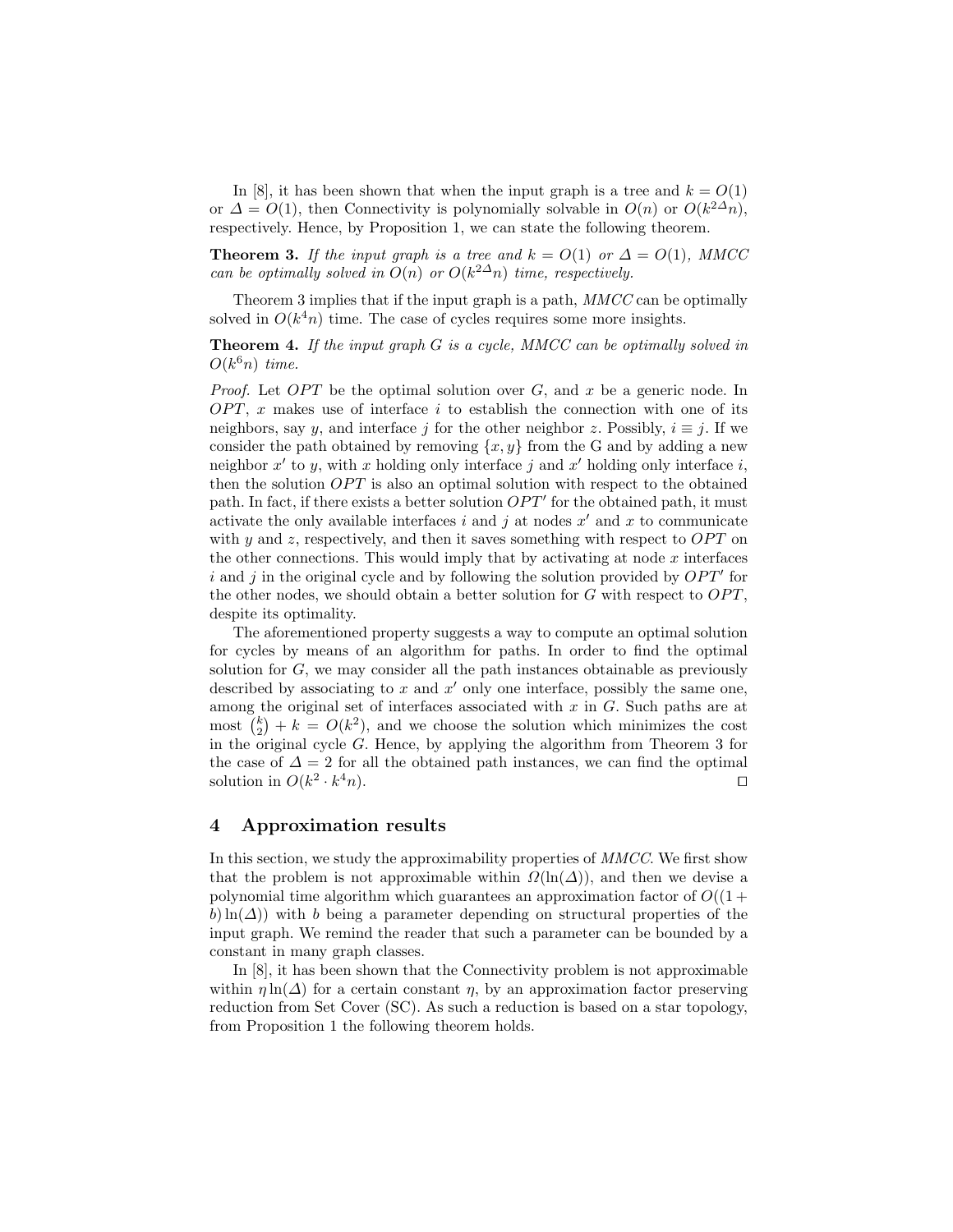In [8], it has been shown that when the input graph is a tree and  $k = O(1)$ or  $\Delta = O(1)$ , then Connectivity is polynomially solvable in  $O(n)$  or  $O(k^{2\Delta}n)$ , respectively. Hence, by Proposition 1, we can state the following theorem.

**Theorem 3.** If the input graph is a tree and  $k = O(1)$  or  $\Delta = O(1)$ , MMCC can be optimally solved in  $O(n)$  or  $O(k^{2\Delta}n)$  time, respectively.

Theorem 3 implies that if the input graph is a path, MMCC can be optimally solved in  $O(k^4n)$  time. The case of cycles requires some more insights.

**Theorem 4.** If the input graph  $G$  is a cycle, MMCC can be optimally solved in  $O(k^6n)$  time.

*Proof.* Let  $OPT$  be the optimal solution over G, and x be a generic node. In  $OPT, x$  makes use of interface i to establish the connection with one of its neighbors, say y, and interface j for the other neighbor z. Possibly,  $i \equiv j$ . If we consider the path obtained by removing  $\{x, y\}$  from the G and by adding a new neighbor  $x'$  to  $y$ , with  $x$  holding only interface  $j$  and  $x'$  holding only interface  $i$ , then the solution  $OPT$  is also an optimal solution with respect to the obtained path. In fact, if there exists a better solution  $OPT'$  for the obtained path, it must activate the only available interfaces i and j at nodes  $x'$  and x to communicate with  $y$  and  $z$ , respectively, and then it saves something with respect to  $OPT$  on the other connections. This would imply that by activating at node  $x$  interfaces i and j in the original cycle and by following the solution provided by  $OPT'$  for the other nodes, we should obtain a better solution for  $G$  with respect to  $OPT$ , despite its optimality.

The aforementioned property suggests a way to compute an optimal solution for cycles by means of an algorithm for paths. In order to find the optimal solution for  $G$ , we may consider all the path instances obtainable as previously described by associating to x and  $x'$  only one interface, possibly the same one, among the original set of interfaces associated with x in G. Such paths are at among the original set of interfaces associated with x in G. Such paths are at most  $\binom{k}{2} + k = O(k^2)$ , and we choose the solution which minimizes the cost in the original cycle  $G$ . Hence, by applying the algorithm from Theorem 3 for the case of  $\Delta = 2$  for all the obtained path instances, we can find the optimal solution in  $O(k^2 \cdot k)$  $^{4}n$ ).

#### 4 Approximation results

In this section, we study the approximability properties of *MMCC*. We first show that the problem is not approximable within  $\Omega(\ln(\Delta))$ , and then we devise a polynomial time algorithm which guarantees an approximation factor of  $O((1 +$ b) ln( $\Delta$ )) with b being a parameter depending on structural properties of the input graph. We remind the reader that such a parameter can be bounded by a constant in many graph classes.

In [8], it has been shown that the Connectivity problem is not approximable within  $\eta \ln(\Delta)$  for a certain constant  $\eta$ , by an approximation factor preserving reduction from Set Cover (SC). As such a reduction is based on a star topology, from Proposition 1 the following theorem holds.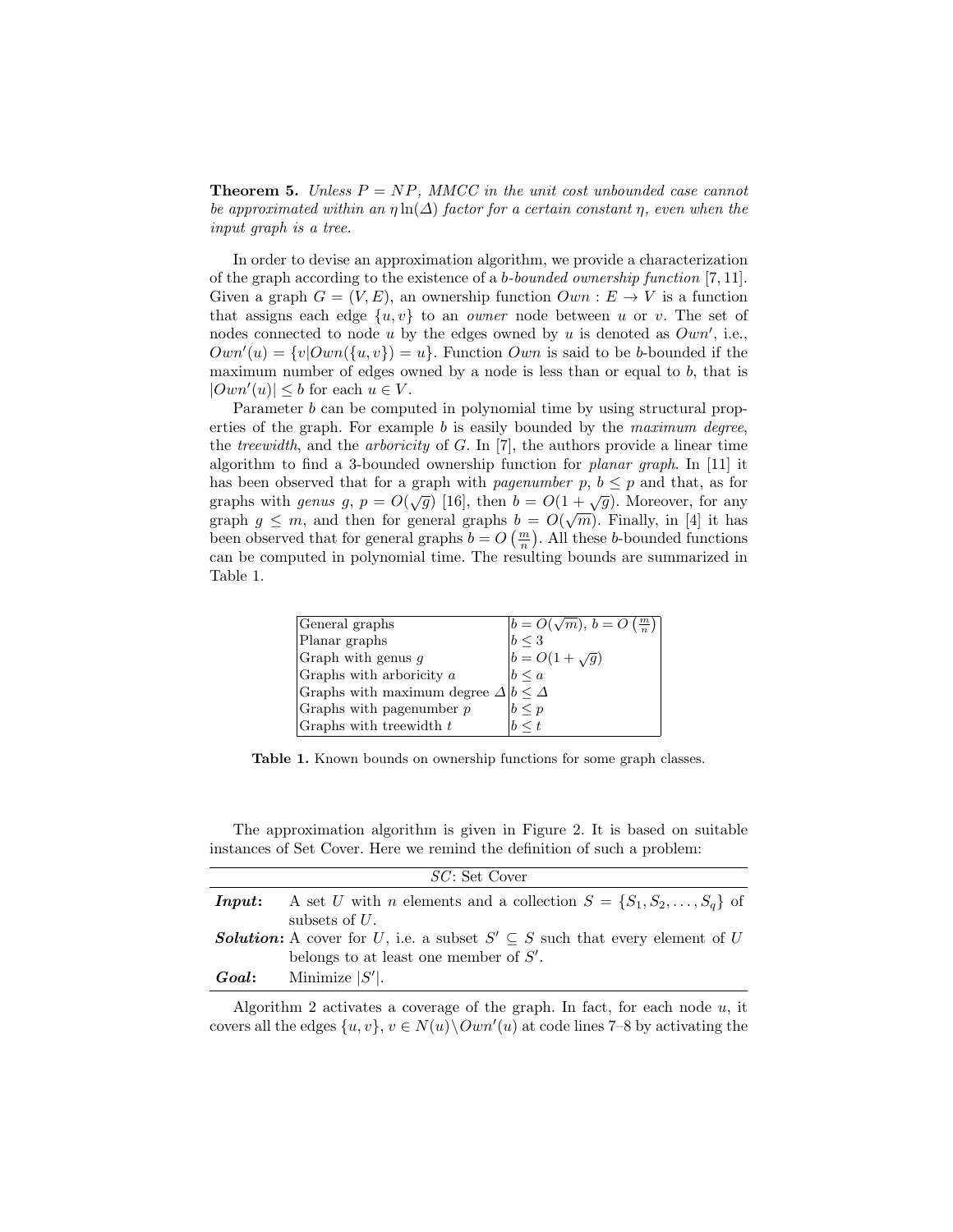**Theorem 5.** Unless  $P = NP$ , MMCC in the unit cost unbounded case cannot be approximated within an  $\eta \ln(\Delta)$  factor for a certain constant  $\eta$ , even when the input graph is a tree.

In order to devise an approximation algorithm, we provide a characterization of the graph according to the existence of a b-bounded ownership function  $[7, 11]$ . Given a graph  $G = (V, E)$ , an ownership function  $Own : E \rightarrow V$  is a function that assigns each edge  $\{u, v\}$  to an *owner* node between u or v. The set of nodes connected to node u by the edges owned by u is denoted as  $Ouri$ , i.e.,  $Qwn'(u) = \{v|Qwn(\{u, v\}) = u\}.$  Function  $Qwn$  is said to be b-bounded if the maximum number of edges owned by a node is less than or equal to b, that is  $| Own'(u)| \leq b$  for each  $u \in V$ .

Parameter b can be computed in polynomial time by using structural properties of the graph. For example  $b$  is easily bounded by the *maximum degree*, the *treewidth*, and the *arboricity* of  $G$ . In [7], the authors provide a linear time algorithm to find a 3-bounded ownership function for planar graph. In [11] it has been observed that for a graph with *pagenumber* p,  $b \leq p$  and that, as for graphs with *genus g*,  $p = O(\sqrt{g})$  [16], then  $b = O(1 + \sqrt{g})$ . Moreover, for any graph  $g \leq m$ , and then for general graphs  $b = O(\sqrt{m})$ . Finally, in [4] it has graph  $g \leq m$ , and then for general graphs  $b = O(\sqrt{m})$ . Finally, in [4] it has been observed that for general graphs  $b = O(\frac{m}{n})$ . All these b-bounded functions can be computed in polynomial time. The resulting bounds are summarized in Table 1.

| General graphs                                      |                                                                                                                                      |
|-----------------------------------------------------|--------------------------------------------------------------------------------------------------------------------------------------|
| Planar graphs                                       |                                                                                                                                      |
| Graph with genus $q$                                | $\begin{array}{l} \boxed{b = O(\sqrt{m}), \, b = O\left(\frac{m}{n}\right)}\\ b \leq 3\\ b = O(1 + \sqrt{g})\\ b \leq a \end{array}$ |
| Graphs with arboricity a                            |                                                                                                                                      |
| Graphs with maximum degree $\Delta   b \leq \Delta$ |                                                                                                                                      |
| Graphs with pagenumber $p$                          | $\begin{array}{c} b \leq p \\ b \leq t \end{array}$                                                                                  |
| Graphs with treewidth t                             |                                                                                                                                      |

Table 1. Known bounds on ownership functions for some graph classes.

The approximation algorithm is given in Figure 2. It is based on suitable instances of Set Cover. Here we remind the definition of such a problem:

|        | <i>SC</i> : Set Cover                                                                       |
|--------|---------------------------------------------------------------------------------------------|
| Input: | A set U with <i>n</i> elements and a collection $S = \{S_1, S_2, \ldots, S_q\}$ of          |
|        | subsets of $U$ .                                                                            |
|        | <b>Solution:</b> A cover for U, i.e. a subset $S' \subseteq S$ such that every element of U |
|        | belongs to at least one member of $S'$ .                                                    |
| Goal:  | Minimize $ S' $ .                                                                           |

Algorithm 2 activates a coverage of the graph. In fact, for each node  $u$ , it covers all the edges  $\{u, v\}, v \in N(u) \backslash Own'(u)$  at code lines 7–8 by activating the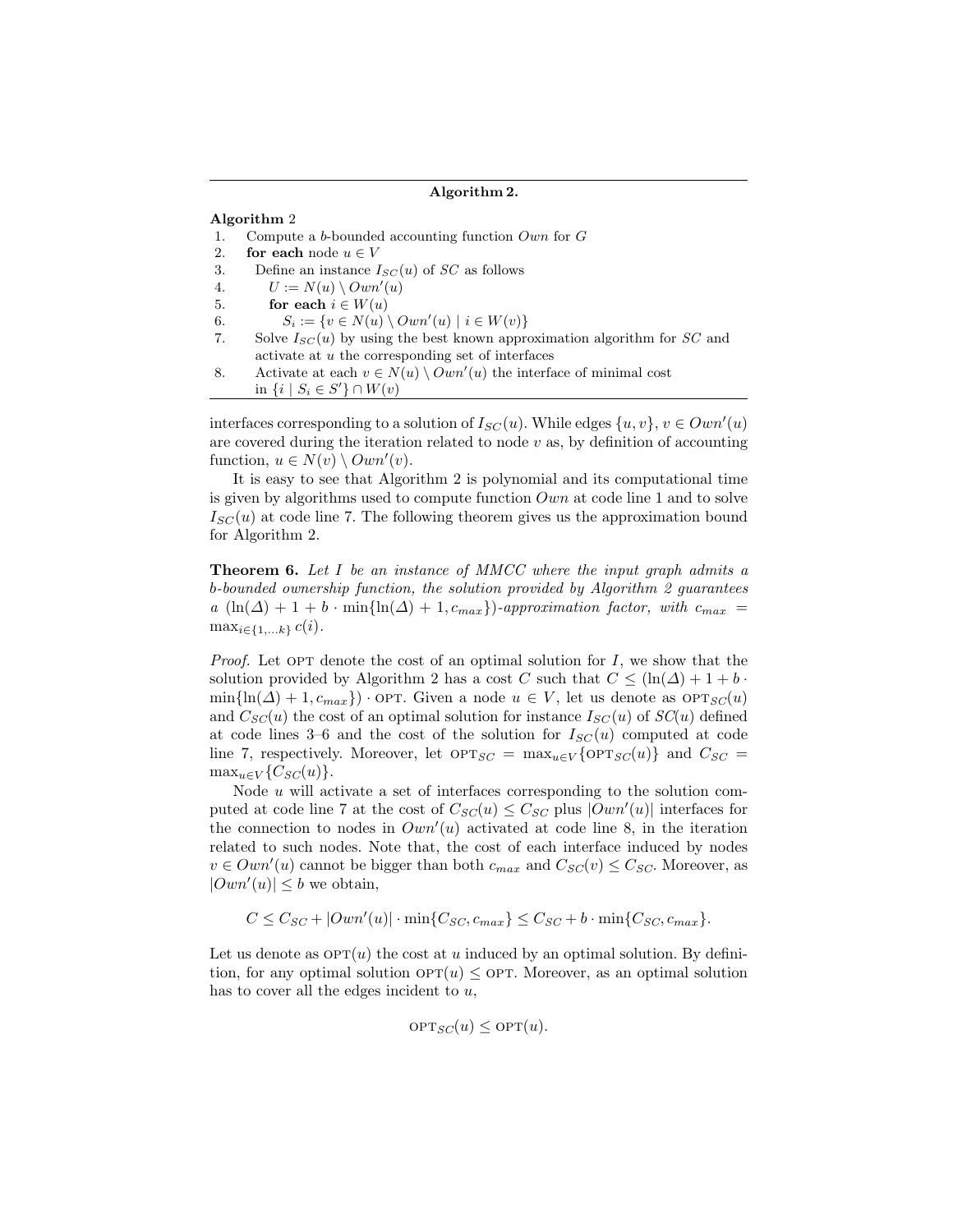Algorithm 2.

#### Algorithm 2

|    | Compute a b-bounded accounting function $Q w n$ for G                         |
|----|-------------------------------------------------------------------------------|
| 2. | for each node $u \in V$                                                       |
| 3. | Define an instance $I_{SC}(u)$ of SC as follows                               |
| 4. | $U := N(u) \setminus Own'(u)$                                                 |
| 5. | for each $i \in W(u)$                                                         |
| 6. | $S_i := \{v \in N(u) \setminus Own'(u) \mid i \in W(v)\}\$                    |
| 7. | Solve $I_{SC}(u)$ by using the best known approximation algorithm for SC and  |
|    | activate at u the corresponding set of interfaces                             |
| 8. | Activate at each $v \in N(u) \setminus Own'(u)$ the interface of minimal cost |
|    | in $\{i \mid S_i \in S'\} \cap W(v)$                                          |

interfaces corresponding to a solution of  $I_{SC}(u)$ . While edges  $\{u, v\}$ ,  $v \in Own'(u)$ are covered during the iteration related to node  $v$  as, by definition of accounting function,  $u \in N(v) \setminus Own'(v)$ .

It is easy to see that Algorithm 2 is polynomial and its computational time is given by algorithms used to compute function  $Own$  at code line 1 and to solve  $I_{SC}(u)$  at code line 7. The following theorem gives us the approximation bound for Algorithm 2.

Theorem 6. Let I be an instance of MMCC where the input graph admits a b-bounded ownership function, the solution provided by Algorithm 2 guarantees a  $(\ln(\Delta) + 1 + b \cdot \min{\ln(\Delta) + 1, c_{max}})$ -approximation factor, with  $c_{max}$  $\max_{i \in \{1,...,k\}} c(i)$ .

*Proof.* Let OPT denote the cost of an optimal solution for  $I$ , we show that the solution provided by Algorithm 2 has a cost C such that  $C \leq (\ln(\Delta) + 1 + b \cdot$  $\min\{\ln(\Delta) + 1, c_{max}\}\$  · OPT. Given a node  $u \in V$ , let us denote as  $\text{OPT}_{SC}(u)$ and  $C_{SC}(u)$  the cost of an optimal solution for instance  $I_{SC}(u)$  of  $SC(u)$  defined at code lines 3–6 and the cost of the solution for  $I_{SC}(u)$  computed at code line 7, respectively. Moreover, let  $OPT_{SC} = \max_{u \in V} \{OPT_{SC}(u)\}$  and  $C_{SC} =$  $\max_{u \in V} \{C_{SC}(u)\}.$ 

Node u will activate a set of interfaces corresponding to the solution computed at code line 7 at the cost of  $C_{SC}(u) \leq C_{SC}$  plus  $|Own'(u)|$  interfaces for the connection to nodes in  $Own'(u)$  activated at code line 8, in the iteration related to such nodes. Note that, the cost of each interface induced by nodes  $v \in Own'(u)$  cannot be bigger than both  $c_{max}$  and  $C_{SC}(v) \leq C_{SC}$ . Moreover, as  $| Own'(u)| \leq b$  we obtain,

$$
C \leq C_{SC} + |Own'(u)| \cdot \min\{C_{SC}, c_{max}\} \leq C_{SC} + b \cdot \min\{C_{SC}, c_{max}\}.
$$

Let us denote as  $\text{OPT}(u)$  the cost at u induced by an optimal solution. By definition, for any optimal solution  $OPT(u) \leq OPT$ . Moreover, as an optimal solution has to cover all the edges incident to  $u$ ,

$$
\text{OPT}_{SC}(u) \le \text{OPT}(u).
$$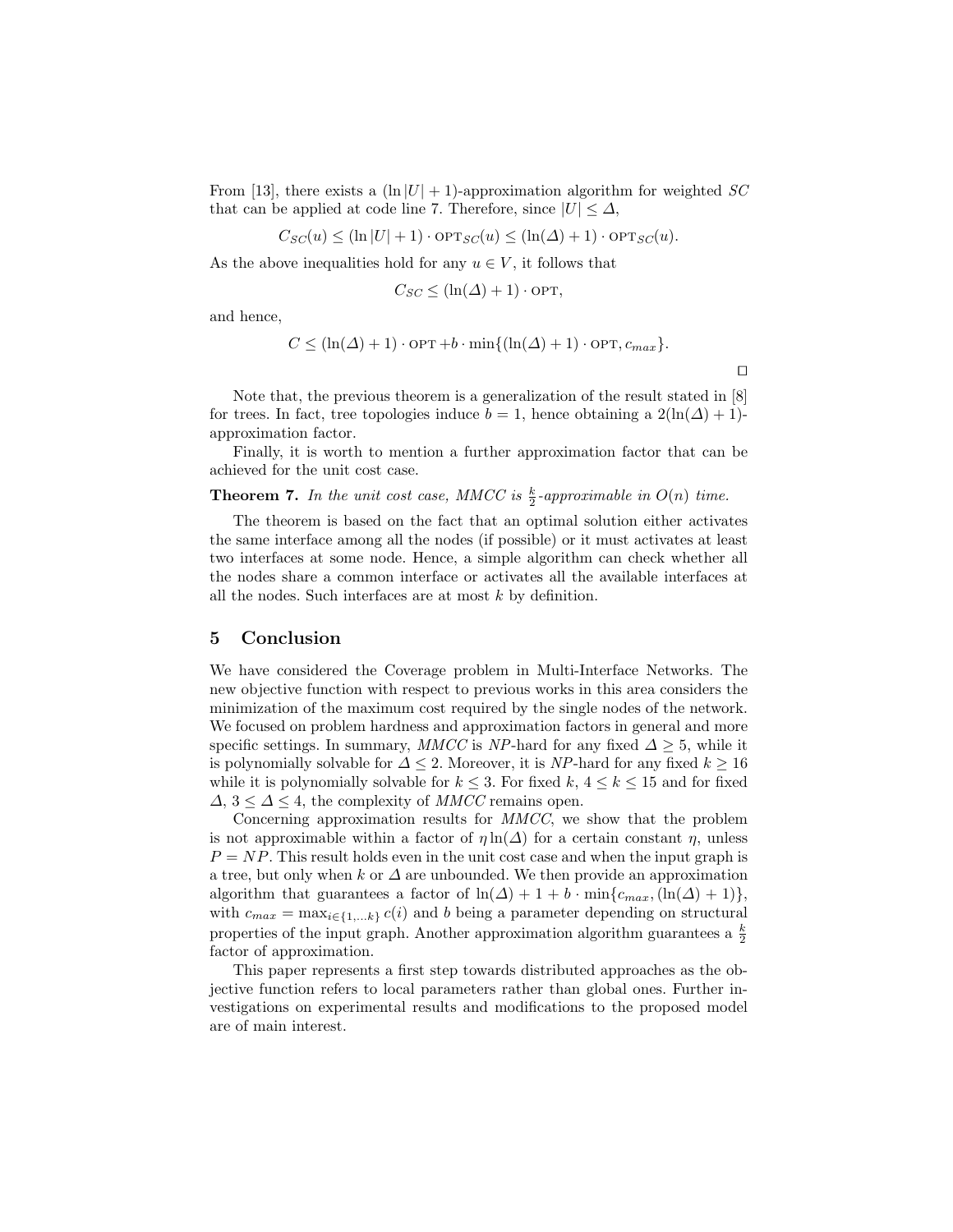From [13], there exists a  $(\ln |U| + 1)$ -approximation algorithm for weighted SC that can be applied at code line 7. Therefore, since  $|U| \leq \Delta$ ,

$$
C_{SC}(u) \le (\ln |U| + 1) \cdot \text{OPT}_{SC}(u) \le (\ln(\Delta) + 1) \cdot \text{OPT}_{SC}(u).
$$

As the above inequalities hold for any  $u \in V$ , it follows that

$$
C_{SC} \leq (\ln(\Delta) + 1) \cdot \text{OPT},
$$

and hence,

$$
C \leq (\ln(\Delta) + 1) \cdot \text{OPT} + b \cdot \min\{(\ln(\Delta) + 1) \cdot \text{OPT}, c_{max}\}.
$$

 $\Box$ 

Note that, the previous theorem is a generalization of the result stated in [8] for trees. In fact, tree topologies induce  $b = 1$ , hence obtaining a  $2(\ln(\Delta) + 1)$ approximation factor.

Finally, it is worth to mention a further approximation factor that can be achieved for the unit cost case.

**Theorem 7.** In the unit cost case, MMCC is  $\frac{k}{2}$ -approximable in  $O(n)$  time.

The theorem is based on the fact that an optimal solution either activates the same interface among all the nodes (if possible) or it must activates at least two interfaces at some node. Hence, a simple algorithm can check whether all the nodes share a common interface or activates all the available interfaces at all the nodes. Such interfaces are at most k by definition.

#### 5 Conclusion

We have considered the Coverage problem in Multi-Interface Networks. The new objective function with respect to previous works in this area considers the minimization of the maximum cost required by the single nodes of the network. We focused on problem hardness and approximation factors in general and more specific settings. In summary, MMCC is NP-hard for any fixed  $\Delta \geq 5$ , while it is polynomially solvable for  $\Delta < 2$ . Moreover, it is NP-hard for any fixed  $k \geq 16$ while it is polynomially solvable for  $k \leq 3$ . For fixed  $k, 4 \leq k \leq 15$  and for fixed  $\Delta$ ,  $3 \leq \Delta \leq 4$ , the complexity of *MMCC* remains open.

Concerning approximation results for MMCC, we show that the problem is not approximable within a factor of  $\eta \ln(\Delta)$  for a certain constant  $\eta$ , unless  $P = NP$ . This result holds even in the unit cost case and when the input graph is a tree, but only when k or  $\Delta$  are unbounded. We then provide an approximation algorithm that guarantees a factor of  $\ln(\Delta) + 1 + b \cdot \min\{c_{max}, (\ln(\Delta) + 1)\},$ with  $c_{max} = \max_{i \in \{1,...k\}} c(i)$  and b being a parameter depending on structural properties of the input graph. Another approximation algorithm guarantees a  $\frac{k}{2}$ factor of approximation.

This paper represents a first step towards distributed approaches as the objective function refers to local parameters rather than global ones. Further investigations on experimental results and modifications to the proposed model are of main interest.